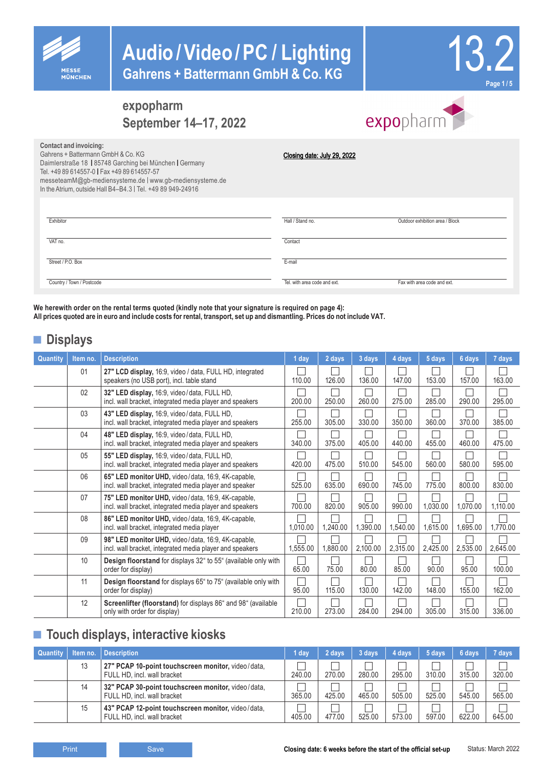

# **Audio/Video/PC / Lighting Gahrens + Battermann GmbH & Co. KG**



### **expopharm September 14–17, 2022**

|  | expopharm |  |
|--|-----------|--|

| Contact and invoicing:<br>Gahrens + Battermann GmbH & Co KG<br>Daimlerstraße 18   85748 Garching bei München   Germany<br>Tel. +49 89 614557-0   Fax +49 89 614557-57<br>messeteamM@gb-mediensysteme.de   www.gb-mediensysteme.de<br>In the Atrium, outside Hall B4-B4.3   Tel. +49 89 949-24916 | Closing date: July 29, 2022  |                                 |
|--------------------------------------------------------------------------------------------------------------------------------------------------------------------------------------------------------------------------------------------------------------------------------------------------|------------------------------|---------------------------------|
| Exhibitor                                                                                                                                                                                                                                                                                        | Hall / Stand no.             | Outdoor exhibition area / Block |
| VAT no.                                                                                                                                                                                                                                                                                          | Contact                      |                                 |
| Street / P.O. Box                                                                                                                                                                                                                                                                                | E-mail                       |                                 |
| Country / Town / Postcode                                                                                                                                                                                                                                                                        | Tel, with area code and ext. | Fax with area code and ext.     |

**We herewith order on the rental terms quoted (kindly note that your signature is required on page 4): All prices quoted are in euro and include costs for rental, transport, set up and dismantling. Prices do not include VAT.**

### **■ Displays**

| Quantity | Item no. | <b>Description</b>                                                                                             | 1 day    | 2 days   | 3 days   | 4 days   | 5 days   | 6 days   | 7 days   |
|----------|----------|----------------------------------------------------------------------------------------------------------------|----------|----------|----------|----------|----------|----------|----------|
|          | 01       | 27" LCD display, 16:9, video / data, FULL HD, integrated<br>speakers (no USB port), incl. table stand          | 110.00   | 126.00   | 136.00   | 147.00   | 153.00   | 157.00   | 163.00   |
|          | 02       | 32" LED display, 16:9, video/data, FULL HD,<br>incl. wall bracket, integrated media player and speakers        | 200.00   | 250.00   | 260.00   | 275.00   | 285.00   | 290.00   | 295.00   |
|          | 03       | 43" LED display, 16:9, video/data, FULL HD,<br>incl. wall bracket, integrated media player and speakers        | 255.00   | 305.00   | 330.00   | 350.00   | 360.00   | 370.00   | 385.00   |
|          | 04       | 48" LED display, 16:9, video/data, FULL HD,<br>incl. wall bracket, integrated media player and speakers        | 340.00   | 375.00   | 405.00   | 440.00   | 455.00   | 460.00   | 475.00   |
|          | 05       | 55" LED display, 16:9, video/data, FULL HD,<br>incl. wall bracket, integrated media player and speakers        | 420.00   | 475.00   | 510.00   | 545.00   | 560.00   | 580.00   | 595.00   |
|          | 06       | 65" LED monitor UHD, video/data, 16:9, 4K-capable,<br>incl. wall bracket, integrated media player and speaker  | 525.00   | 635.00   | 690.00   | 745.00   | 775.00   | 800.00   | 830.00   |
|          | 07       | 75" LED monitor UHD, video/data, 16:9, 4K-capable,<br>incl. wall bracket, integrated media player and speakers | 700.00   | 820.00   | 905.00   | 990.00   | 1,030.00 | 1,070.00 | 1,110.00 |
|          | 08       | 86" LED monitor UHD, video/data, 16:9, 4K-capable,<br>incl. wall bracket, integrated media player              | 1,010.00 | 1,240.00 | 1,390.00 | 1,540.00 | 1,615.00 | 1,695.00 | 1.770.00 |
|          | 09       | 98" LED monitor UHD, video/data, 16:9, 4K-capable,<br>incl. wall bracket, integrated media player and speakers | 1,555.00 | 1,880.00 | 2,100.00 | 2,315.00 | 2,425.00 | 2,535.00 | 2,645.00 |
|          | 10       | Design floorstand for displays 32" to 55" (available only with<br>order for display)                           | 65.00    | 75.00    | 80.00    | 85.00    | 90.00    | 95.00    | 100.00   |
|          | 11       | Design floorstand for displays 65" to 75" (available only with<br>order for display)                           | 95.00    | 115.00   | 130.00   | 142.00   | 148.00   | 155.00   | 162.00   |
|          | 12       | Screenlifter (floorstand) for displays 86" and 98" (available<br>only with order for display)                  | 210.00   | 273.00   | 284.00   | 294.00   | 305.00   | 315.00   | 336.00   |

### **■ Touch displays, interactive kiosks**

| <b>Quantity</b> | Item no. | <b>Description</b>                                                                | 1 dav  | 2 days | 3 days | 4 days | 5 days | 6 days | 7 davs |
|-----------------|----------|-----------------------------------------------------------------------------------|--------|--------|--------|--------|--------|--------|--------|
|                 | 13       | 27" PCAP 10-point touchscreen monitor, video/data,<br>FULL HD, incl. wall bracket | 240.00 | 270.00 | 280.00 | 295.00 | 310.00 | 315.00 | 320.00 |
|                 | 14       | 32" PCAP 30-point touchscreen monitor, video/data,<br>FULL HD, incl. wall bracket | 365.00 | 425.00 | 465.00 | 505.00 | 525.00 | 545.00 | 565.00 |
|                 | 15       | 43" PCAP 12-point touchscreen monitor, video/data,<br>FULL HD, incl. wall bracket | 405.00 | 477.00 | 525.00 | 573.00 | 597.00 | 622.00 | 645.00 |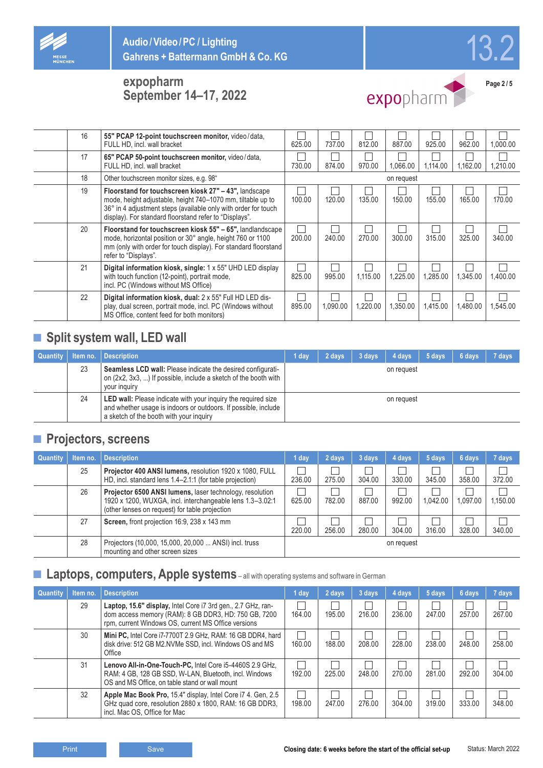





expopharm

**Page 2 / 5**

| 16 | 55" PCAP 12-point touchscreen monitor, video/data,<br>FULL HD, incl. wall bracket                                                                                                                                                                | 625.00 | 737.00   | 812.00   | 887.00     | 925.00   | 962.00   | 1.000.00 |
|----|--------------------------------------------------------------------------------------------------------------------------------------------------------------------------------------------------------------------------------------------------|--------|----------|----------|------------|----------|----------|----------|
| 17 | 65" PCAP 50-point touchscreen monitor, video/data,<br>FULL HD. incl. wall bracket                                                                                                                                                                | 730.00 | 874.00   | 970.00   | 1.066.00   | 1.114.00 | 1.162.00 | 1.210.00 |
| 18 | Other touchscreen monitor sizes, e.g. 98"                                                                                                                                                                                                        |        |          |          | on request |          |          |          |
| 19 | Floorstand for touchscreen kiosk 27" - 43", landscape<br>mode, height adjustable, height 740-1070 mm, tiltable up to<br>36° in 4 adjustment steps (available only with order for touch<br>display). For standard floorstand refer to "Displays". | 100.00 | 120.00   | 135.00   | 150.00     | 155.00   | 165.00   | 170.00   |
| 20 | Floorstand for touchscreen kiosk 55" - 65", landlandscape<br>mode, horizontal position or 30° angle, height 760 or 1100<br>mm (only with order for touch display). For standard floorstand<br>refer to "Displays".                               | 200.00 | 240.00   | 270.00   | 300.00     | 315.00   | 325.00   | 340.00   |
| 21 | Digital information kiosk, single: 1 x 55" UHD LED display<br>with touch function (12-point), portrait mode,<br>incl. PC (Windows without MS Office)                                                                                             | 825.00 | 995.00   | 1.115.00 | 1.225.00   | 1.285.00 | 1,345.00 | 1.400.00 |
| 22 | Digital information kiosk, dual: 2 x 55" Full HD LED dis-<br>play, dual screen, portrait mode, incl. PC (Windows without<br>MS Office, content feed for both monitors)                                                                           | 895.00 | 1,090.00 | 1.220.00 | 1,350.00   | 1,415.00 | 1,480.00 | 1,545.00 |

## ■ **Split system wall, LED wall**

| <b>Quantity</b> | Item no. | Description                                                                                                                                                                | 1 dav | 2 days | 3 days | 4 days     | 5 days | 6 days | 7 days |
|-----------------|----------|----------------------------------------------------------------------------------------------------------------------------------------------------------------------------|-------|--------|--------|------------|--------|--------|--------|
|                 | 23       | Seamless LCD wall: Please indicate the desired configurati-<br>on (2x2, 3x3, ) If possible, include a sketch of the booth with<br>your inquiry                             |       |        |        | on request |        |        |        |
|                 | 24       | LED wall: Please indicate with your inquiry the required size<br>and whether usage is indoors or outdoors. If possible, include<br>a sketch of the booth with your inquiry |       |        |        | on request |        |        |        |

### **■ Projectors, screens**

| <b>Quantity</b> | Item no. | <b>Description</b>                                                                                                                                                      | 1 day  | 2 days | 3 days | 4 days     | 5 days   | 6 days   | 7 days   |
|-----------------|----------|-------------------------------------------------------------------------------------------------------------------------------------------------------------------------|--------|--------|--------|------------|----------|----------|----------|
|                 | 25       | Projector 400 ANSI lumens, resolution 1920 x 1080, FULL<br>HD, incl. standard lens 1.4–2.1:1 (for table projection)                                                     | 236.00 | 275.00 | 304.00 | 330.00     | 345.00   | 358.00   | 372.00   |
|                 | 26       | Projector 6500 ANSI lumens, laser technology, resolution<br>1920 x 1200, WUXGA, incl. interchangeable lens 1.3-3.02:1<br>(other lenses on request) for table projection | 625.00 | 782.00 | 887.00 | 992.00     | 1.042.00 | 1,097.00 | 1,150.00 |
|                 | 27       | Screen, front projection 16:9, 238 x 143 mm                                                                                                                             | 220.00 | 256.00 | 280.00 | 304.00     | 316.00   | 328.00   | 340.00   |
|                 | 28       | Projectors (10,000, 15,000, 20,000  ANSI) incl. truss<br>mounting and other screen sizes                                                                                |        |        |        | on request |          |          |          |

### ■ **Laptops, computers, Apple systems** – all with operating systems and software in German

| <b>Quantity</b> | Item no. | <b>Description</b>                                                                                                                                                          | 1 day  | 2 days | 3 days | 4 days | 5 days | 6 days | 7 days |
|-----------------|----------|-----------------------------------------------------------------------------------------------------------------------------------------------------------------------------|--------|--------|--------|--------|--------|--------|--------|
|                 | 29       | Laptop, 15.6" display, Intel Core i7 3rd gen., 2.7 GHz, ran-<br>dom access memory (RAM): 8 GB DDR3, HD: 750 GB, 7200<br>rpm, current Windows OS, current MS Office versions | 164.00 | 195.00 | 216.00 | 236.00 | 247.00 | 257.00 | 267.00 |
|                 | 30       | Mini PC, Intel Core i7-7700T 2.9 GHz, RAM: 16 GB DDR4, hard<br>disk drive: 512 GB M2.NVMe SSD, incl. Windows OS and MS<br>Office                                            | 160.00 | 188.00 | 208.00 | 228.00 | 238.00 | 248.00 | 258.00 |
|                 | 31       | Lenovo All-in-One-Touch-PC. Intel Core i5-4460S 2.9 GHz.<br>RAM: 4 GB, 128 GB SSD, W-LAN, Bluetooth, incl. Windows<br>OS and MS Office, on table stand or wall mount        | 192.00 | 225.00 | 248.00 | 270.00 | 281.00 | 292.00 | 304.00 |
|                 | 32       | Apple Mac Book Pro, 15.4" display, Intel Core i7 4. Gen, 2.5<br>GHz quad core, resolution 2880 x 1800, RAM: 16 GB DDR3,<br>incl. Mac OS. Office for Mac                     | 198.00 | 247.00 | 276.00 | 304.00 | 319.00 | 333.00 | 348.00 |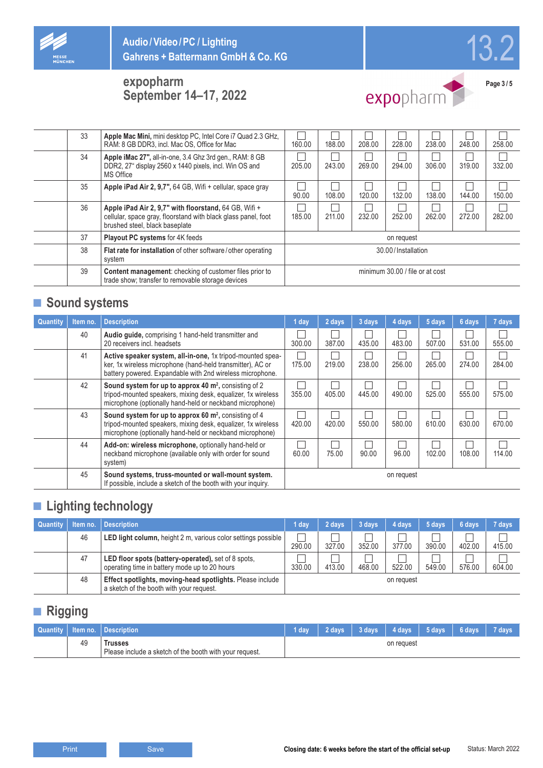





expopharm

**Page 3 / 5**

|    | 33<br>Apple Mac Mini, mini desktop PC, Intel Core i7 Quad 2.3 GHz,<br>RAM: 8 GB DDR3, incl. Mac OS, Office for Mac                                             | 160.00 | 188.00 | 208.00 | 228.00                          | 238.00 | 248.00 | 258.00 |
|----|----------------------------------------------------------------------------------------------------------------------------------------------------------------|--------|--------|--------|---------------------------------|--------|--------|--------|
|    | 34<br>Apple iMac 27", all-in-one, 3.4 Ghz 3rd gen., RAM: 8 GB<br>DDR2, 27" display 2560 x 1440 pixels, incl. Win OS and<br><b>MS Office</b>                    | 205.00 | 243.00 | 269.00 | 294.00                          | 306.00 | 319.00 | 332.00 |
|    | 35<br>Apple iPad Air 2, 9,7", 64 GB, Wifi + cellular, space gray                                                                                               | 90.00  | 108.00 | 120.00 | 132.00                          | 138.00 | 144.00 | 150.00 |
|    | 36<br>Apple iPad Air 2, 9,7" with floorstand, 64 GB, Wifi +<br>cellular, space gray, floorstand with black glass panel, foot<br>brushed steel, black baseplate | 185.00 | 211.00 | 232.00 | 252.00                          | 262.00 | 272.00 | 282.00 |
| 37 | <b>Playout PC systems for 4K feeds</b>                                                                                                                         |        |        |        | on request                      |        |        |        |
|    | 38<br>Flat rate for installation of other software/other operating<br>system                                                                                   |        |        |        | 30.00/Installation              |        |        |        |
|    | 39<br><b>Content management:</b> checking of customer files prior to<br>trade show; transfer to removable storage devices                                      |        |        |        | minimum 30.00 / file or at cost |        |        |        |

## **■ Sound systems**

| Quantity | Item no. | <b>Description</b>                                                                                                                                                                            | 1 day  | 2 days | 3 days | 4 days     | 5 days | 6 days | 7 days |
|----------|----------|-----------------------------------------------------------------------------------------------------------------------------------------------------------------------------------------------|--------|--------|--------|------------|--------|--------|--------|
|          | 40       | Audio guide, comprising 1 hand-held transmitter and<br>20 receivers incl. headsets                                                                                                            | 300.00 | 387.00 | 435.00 | 483.00     | 507.00 | 531.00 | 555.00 |
|          | 41       | Active speaker system, all-in-one, 1x tripod-mounted spea-<br>ker, 1x wireless microphone (hand-held transmitter), AC or<br>battery powered. Expandable with 2nd wireless microphone.         | 175.00 | 219.00 | 238.00 | 256.00     | 265.00 | 274.00 | 284.00 |
|          | 42       | Sound system for up to approx 40 m <sup>2</sup> , consisting of 2<br>tripod-mounted speakers, mixing desk, equalizer, 1x wireless<br>microphone (optionally hand-held or neckband microphone) | 355.00 | 405.00 | 445.00 | 490.00     | 525.00 | 555.00 | 575.00 |
|          | 43       | Sound system for up to approx 60 m <sup>2</sup> , consisting of 4<br>tripod-mounted speakers, mixing desk, equalizer, 1x wireless<br>microphone (optionally hand-held or neckband microphone) | 420.00 | 420.00 | 550.00 | 580.00     | 610.00 | 630.00 | 670.00 |
|          | 44       | Add-on: wireless microphone, optionally hand-held or<br>neckband microphone (available only with order for sound<br>system)                                                                   | 60.00  | 75.00  | 90.00  | 96.00      | 102.00 | 108.00 | 114.00 |
|          | 45       | Sound systems, truss-mounted or wall-mount system.<br>If possible, include a sketch of the booth with your inquiry.                                                                           |        |        |        | on request |        |        |        |

## **■ Lighting technology**

| Quantity | Item no. | <b>Description</b>                                                                                          | 1 day  | 2 days | 3 days | 4 days     | 5 days | 6 days | 7 days |
|----------|----------|-------------------------------------------------------------------------------------------------------------|--------|--------|--------|------------|--------|--------|--------|
|          | 46       | LED light column, height 2 m, various color settings possible                                               | 290.00 | 327.00 | 352.00 | 377.00     | 390.00 | 402.00 | 415.00 |
|          | 47       | <b>LED floor spots (battery-operated), set of 8 spots,</b><br>operating time in battery mode up to 20 hours | 330.00 | 413.00 | 468.00 | 522.00     | 549.00 | 576.00 | 604.00 |
|          | 48       | Effect spotlights, moving-head spotlights. Please include<br>a sketch of the booth with your request.       |        |        |        | on request |        |        |        |

## **■ Rigging**

|    | <b>Quantity   Item no.   Description \</b>                        | 1 day |  | 2 days   3 days   4 days   5 days   6 days |  | 7 davs |
|----|-------------------------------------------------------------------|-------|--|--------------------------------------------|--|--------|
| 49 | russes<br>Please include a sketch of the booth with your request. |       |  | on request                                 |  |        |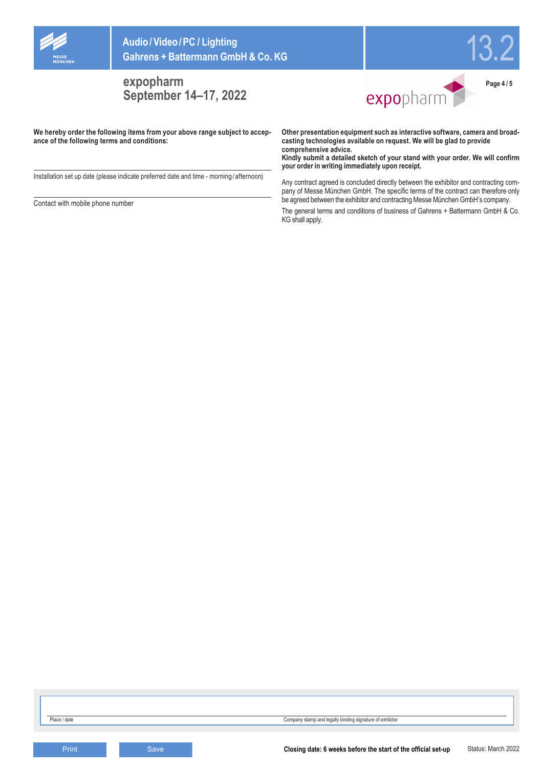

**Audio/Video/PC / Lighting Gahrens + Battermann GmbH & Co. KG**

**expopharm September 14–17, 2022**



13.2

**Page 4 / 5**

**We hereby order the following items from your above range subject to accepance of the following terms and conditions:**

Installation set up date (please indicate preferred date and time - morning / afternoon)

Contact with mobile phone number

**Other presentation equipment such as interactive software, camera and broadcasting technologies available on request. We will be glad to provide comprehensive advice.**

**Kindly submit a detailed sketch of your stand with your order. We will confirm your order in writing immediately upon receipt.**

Any contract agreed is concluded directly between the exhibitor and contracting company of Messe München GmbH. The specific terms of the contract can therefore only be agreed between the exhibitor and contracting Messe München GmbH's company. The general terms and conditions of business of Gahrens + Battermann GmbH & Co. KG shall apply.